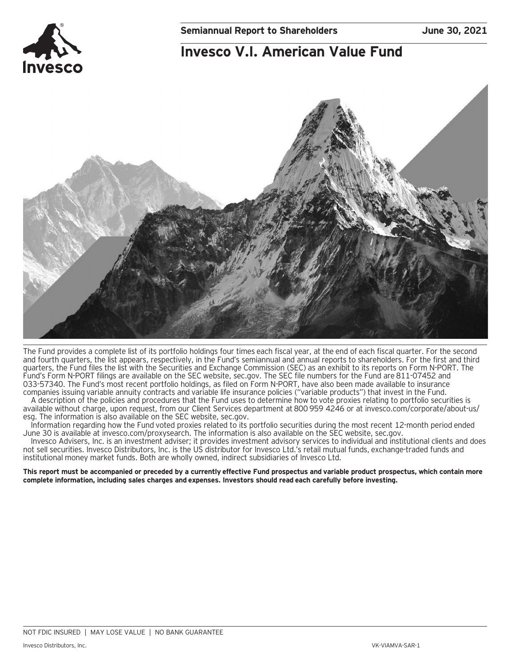## **Invesco V.I. American Value Fund**



The Fund provides a complete list of its portfolio holdings four times each fiscal year, at the end of each fiscal quarter. For the second and fourth quarters, the list appears, respectively, in the Fund's semiannual and annual reports to shareholders. For the first and third quarters, the Fund files the list with the Securities and Exchange Commission (SEC) as an exhibit to its reports on Form N-PORT. The Fund's Form N-PORT filings are available on the SEC website, sec.gov. The SEC file numbers for the Fund are 811-07452 and 033-57340. The Fund's most recent portfolio holdings, as filed on Form N-PORT, have also been made available to insurance companies issuing variable annuity contracts and variable life insurance policies ("variable products") that invest in the Fund.

A description of the policies and procedures that the Fund uses to determine how to vote proxies relating to portfolio securities is available without charge, upon request, from our Client Services department at 800 959 4246 or at invesco.com/corporate/about-us/ esg. The information is also available on the SEC website, sec.gov.

Information regarding how the Fund voted proxies related to its portfolio securities during the most recent 12-month period ended June 30 is available at invesco.com/proxysearch. The information is also available on the SEC website, sec.gov.

Invesco Advisers, Inc. is an investment adviser; it provides investment advisory services to individual and institutional clients and does not sell securities. Invesco Distributors, Inc. is the US distributor for Invesco Ltd.'s retail mutual funds, exchange-traded funds and institutional money market funds. Both are wholly owned, indirect subsidiaries of Invesco Ltd.

**This report must be accompanied or preceded by a currently effective Fund prospectus and variable product prospectus, which contain more complete information, including sales charges and expenses. Investors should read each carefully before investing.**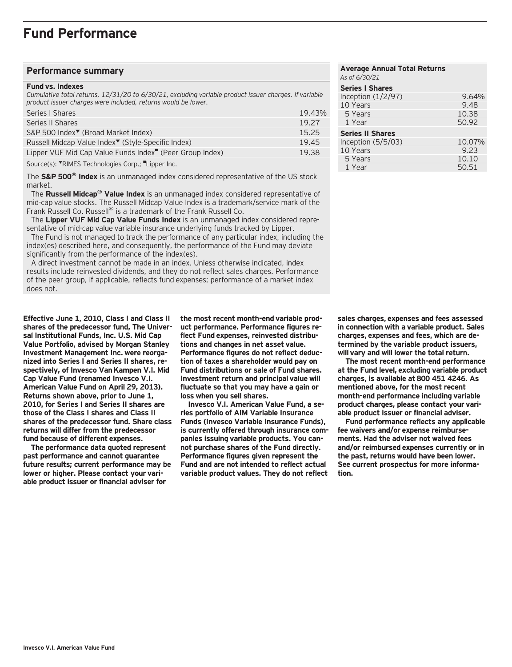### **Fund Performance**

#### **Performance summary**

#### **Fund vs. Indexes**

*Cumulative total returns, 12/31/20 to 6/30/21, excluding variable product issuer charges. If variable product issuer charges were included, returns would be lower.*

| Series   Shares                                                      | 19.43% |
|----------------------------------------------------------------------|--------|
| Series II Shares                                                     | 19.27  |
| S&P 500 Index <sup>▼</sup> (Broad Market Index)                      | 15.25  |
| Russell Midcap Value Index <sup>▼</sup> (Style-Specific Index)       | 19.45  |
| Lipper VUF Mid Cap Value Funds Index <sup>"</sup> (Peer Group Index) | 19.38  |
| Source(s): TRIMES Technologies Corp.; Lipper Inc.                    |        |

The **S&P 500® Index** is an unmanaged index considered representative of the US stock market.

 The **Russell Midcap® Value Index** is an unmanaged index considered representative of mid-cap value stocks. The Russell Midcap Value Index is a trademark/service mark of the Frank Russell Co. Russell® is a trademark of the Frank Russell Co.

 The **Lipper VUF Mid Cap Value Funds Index** is an unmanaged index considered representative of mid-cap value variable insurance underlying funds tracked by Lipper.

 The Fund is not managed to track the performance of any particular index, including the index(es) described here, and consequently, the performance of the Fund may deviate significantly from the performance of the index(es).

 A direct investment cannot be made in an index. Unless otherwise indicated, index results include reinvested dividends, and they do not reflect sales charges. Performance of the peer group, if applicable, reflects fund expenses; performance of a market index does not.

**Effective June 1, 2010, Class I and Class II shares of the predecessor fund, The Universal Institutional Funds, Inc. U.S. Mid Cap Value Portfolio, advised by Morgan Stanley Investment Management Inc. were reorganized into Series I and Series II shares, respectively, of Invesco Van Kampen V.I. Mid Cap Value Fund (renamed Invesco V.I. American Value Fund on April 29, 2013). Returns shown above, prior to June 1, 2010, for Series I and Series II shares are those of the Class I shares and Class II shares of the predecessor fund. Share class returns will differ from the predecessor fund because of different expenses.**

**The performance data quoted represent past performance and cannot guarantee future results; current performance may be lower or higher. Please contact your variable product issuer or financial adviser for**

**the most recent month-end variable product performance. Performance figures reflect Fund expenses, reinvested distributions and changes in net asset value. Performance figures do not reflect deduction of taxes a shareholder would pay on Fund distributions or sale of Fund shares. Investment return and principal value will fluctuate so that you may have a gain or loss when you sell shares.**

**Invesco V.I. American Value Fund, a series portfolio of AIM Variable Insurance Funds (Invesco Variable Insurance Funds), is currently offered through insurance companies issuing variable products. You cannot purchase shares of the Fund directly. Performance figures given represent the Fund and are not intended to reflect actual variable product values. They do not reflect**

| <b>Average Annual Total Returns</b><br>As of 6/30/21 |        |
|------------------------------------------------------|--------|
| <b>Series I Shares</b>                               |        |
| Inception (1/2/97)                                   | 9.64%  |
| 10 Years                                             | 9.48   |
| 5 Years                                              | 10.38  |
| 1 Year                                               | 50.92  |
| <b>Series II Shares</b>                              |        |
| Inception $(5/5/03)$                                 | 10.07% |
| 10 Years                                             | 9.23   |
| 5 Years                                              | 10.10  |
| 1 Year                                               | 50.51  |

**sales charges, expenses and fees assessed in connection with a variable product. Sales charges, expenses and fees, which are determined by the variable product issuers, will vary and will lower the total return.**

**The most recent month-end performance at the Fund level, excluding variable product charges, is available at 800 451 4246. As mentioned above, for the most recent month-end performance including variable product charges, please contact your variable product issuer or financial adviser.**

**Fund performance reflects any applicable fee waivers and/or expense reimbursements. Had the adviser not waived fees and/or reimbursed expenses currently or in the past, returns would have been lower. See current prospectus for more information.**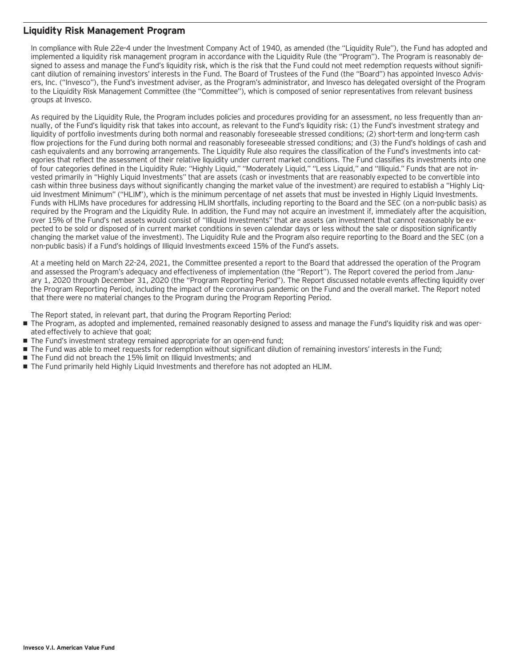### **Liquidity Risk Management Program**

In compliance with Rule 22e-4 under the Investment Company Act of 1940, as amended (the "Liquidity Rule"), the Fund has adopted and implemented a liquidity risk management program in accordance with the Liquidity Rule (the "Program"). The Program is reasonably designed to assess and manage the Fund's liquidity risk, which is the risk that the Fund could not meet redemption requests without significant dilution of remaining investors' interests in the Fund. The Board of Trustees of the Fund (the "Board") has appointed Invesco Advisers, Inc. ("Invesco"), the Fund's investment adviser, as the Program's administrator, and Invesco has delegated oversight of the Program to the Liquidity Risk Management Committee (the "Committee"), which is composed of senior representatives from relevant business groups at Invesco.

As required by the Liquidity Rule, the Program includes policies and procedures providing for an assessment, no less frequently than annually, of the Fund's liquidity risk that takes into account, as relevant to the Fund's liquidity risk: (1) the Fund's investment strategy and liquidity of portfolio investments during both normal and reasonably foreseeable stressed conditions; (2) short-term and long-term cash flow projections for the Fund during both normal and reasonably foreseeable stressed conditions; and (3) the Fund's holdings of cash and cash equivalents and any borrowing arrangements. The Liquidity Rule also requires the classification of the Fund's investments into categories that reflect the assessment of their relative liquidity under current market conditions. The Fund classifies its investments into one of four categories defined in the Liquidity Rule: "Highly Liquid," "Moderately Liquid," "Less Liquid," and "Illiquid." Funds that are not invested primarily in "Highly Liquid Investments" that are assets (cash or investments that are reasonably expected to be convertible into cash within three business days without significantly changing the market value of the investment) are required to establish a "Highly Liquid Investment Minimum" ("HLIM"), which is the minimum percentage of net assets that must be invested in Highly Liquid Investments. Funds with HLIMs have procedures for addressing HLIM shortfalls, including reporting to the Board and the SEC (on a non-public basis) as required by the Program and the Liquidity Rule. In addition, the Fund may not acquire an investment if, immediately after the acquisition, over 15% of the Fund's net assets would consist of "Illiquid Investments" that are assets (an investment that cannot reasonably be expected to be sold or disposed of in current market conditions in seven calendar days or less without the sale or disposition significantly changing the market value of the investment). The Liquidity Rule and the Program also require reporting to the Board and the SEC (on a non-public basis) if a Fund's holdings of Illiquid Investments exceed 15% of the Fund's assets.

At a meeting held on March 22-24, 2021, the Committee presented a report to the Board that addressed the operation of the Program and assessed the Program's adequacy and effectiveness of implementation (the "Report"). The Report covered the period from January 1, 2020 through December 31, 2020 (the "Program Reporting Period"). The Report discussed notable events affecting liquidity over the Program Reporting Period, including the impact of the coronavirus pandemic on the Fund and the overall market. The Report noted that there were no material changes to the Program during the Program Reporting Period.

The Report stated, in relevant part, that during the Program Reporting Period:

- The Program, as adopted and implemented, remained reasonably designed to assess and manage the Fund's liquidity risk and was operated effectively to achieve that goal;
- The Fund's investment strategy remained appropriate for an open-end fund;
- The Fund was able to meet requests for redemption without significant dilution of remaining investors' interests in the Fund;
- The Fund did not breach the 15% limit on Illiquid Investments: and
- The Fund primarily held Highly Liquid Investments and therefore has not adopted an HLIM.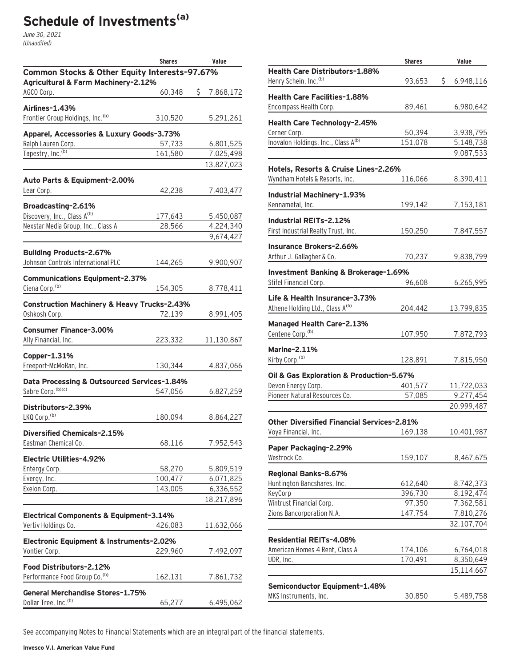# **Schedule of Investments(a)**

June 30, 2021 (Unaudited)

|                                                                   | <b>Shares</b>     | Value                  |
|-------------------------------------------------------------------|-------------------|------------------------|
| Common Stocks & Other Equity Interests-97.67%                     |                   |                        |
| Agricultural & Farm Machinery-2.12%                               |                   |                        |
| AGCO Corp.                                                        | 60,348            | \$<br>7,868,172        |
| Airlines-1.43%                                                    |                   |                        |
| Frontier Group Holdings, Inc. <sup>(b)</sup>                      | 310,520           | 5,291,261              |
| Apparel, Accessories & Luxury Goods-3.73%                         |                   |                        |
| Ralph Lauren Corp.                                                | 57,733            | 6,801,525              |
| Tapestry, Inc. <sup>(b)</sup>                                     | 161,580           | 7,025,498              |
|                                                                   |                   | 13,827,023             |
| Auto Parts & Equipment-2.00%                                      |                   |                        |
| Lear Corp.                                                        | 42,238            | 7,403,477              |
|                                                                   |                   |                        |
| Broadcasting-2.61%                                                |                   |                        |
| Discovery, Inc., Class A <sup>(b)</sup>                           | 177,643           | 5,450,087              |
| Nexstar Media Group, Inc., Class A                                | 28,566            | 4,224,340              |
|                                                                   |                   | 9,674,427              |
| <b>Building Products-2.67%</b>                                    |                   |                        |
| Johnson Controls International PLC                                | 144,265           | 9,900,907              |
| <b>Communications Equipment-2.37%</b>                             |                   |                        |
| Ciena Corp. <sup>(b)</sup>                                        | 154,305           | 8,778,411              |
|                                                                   |                   |                        |
| <b>Construction Machinery &amp; Heavy Trucks-2.43%</b>            |                   |                        |
| Oshkosh Corp.                                                     | 72,139            | 8,991,405              |
| <b>Consumer Finance-3.00%</b>                                     |                   |                        |
| Ally Financial, Inc.                                              | 223,332           | 11,130,867             |
| Copper-1.31%                                                      |                   |                        |
| Freeport-McMoRan, Inc.                                            | 130,344           | 4,837,066              |
|                                                                   |                   |                        |
| Data Processing & Outsourced Services-1.84%<br>Sabre Corp. (b)(c) |                   |                        |
|                                                                   | 547,056           | 6,827,259              |
| Distributors-2.39%                                                |                   |                        |
| LKQ Corp. <sup>(b)</sup>                                          | 180,094           | 8,864,227              |
| <b>Diversified Chemicals-2.15%</b>                                |                   |                        |
| Eastman Chemical Co.                                              | 68,116            | 7,952,543              |
|                                                                   |                   |                        |
| Electric Utilities-4.92%                                          |                   |                        |
| Entergy Corp.<br>Evergy, Inc.                                     | 58,270<br>100,477 | 5,809,519<br>6,071,825 |
| Exelon Corp.                                                      | 143,005           | 6,336,552              |
|                                                                   |                   | 18,217,896             |
|                                                                   |                   |                        |
| Electrical Components & Equipment-3.14%                           |                   |                        |
| Vertiv Holdings Co.                                               | 426,083           | 11,632,066             |
| Electronic Equipment & Instruments-2.02%                          |                   |                        |
| Vontier Corp.                                                     | 229,960           | 7,492,097              |
| Food Distributors-2.12%                                           |                   |                        |
| Performance Food Group Co. <sup>(b)</sup>                         | 162,131           | 7,861,732              |
|                                                                   |                   |                        |
| <b>General Merchandise Stores-1.75%</b>                           |                   |                        |
| Dollar Tree, Inc. <sup>(b)</sup>                                  | 65,277            | 6,495,062              |

|                                                                              | <b>Shares</b> | Value            |
|------------------------------------------------------------------------------|---------------|------------------|
| Health Care Distributors-1.88%                                               |               |                  |
| Henry Schein, Inc. <sup>(b)</sup>                                            | 93,653        | \$.<br>6,948,116 |
| <b>Health Care Facilities-1.88%</b>                                          |               |                  |
| Encompass Health Corp.                                                       | 89,461        | 6,980,642        |
| Health Care Technology-2.45%                                                 |               |                  |
| Cerner Corp.                                                                 | 50,394        | 3,938,795        |
| Inovalon Holdings, Inc., Class A <sup>(b)</sup>                              | 151,078       | 5,148,738        |
|                                                                              |               | 9,087,533        |
| Hotels, Resorts & Cruise Lines-2.26%                                         |               |                  |
| Wyndham Hotels & Resorts, Inc.                                               | 116,066       | 8,390,411        |
| Industrial Machinery-1.93%                                                   |               |                  |
| Kennametal, Inc.                                                             | 199,142       | 7,153,181        |
| Industrial REITs-2.12%                                                       |               |                  |
| First Industrial Realty Trust, Inc.                                          | 150,250       | 7,847,557        |
| <b>Insurance Brokers-2.66%</b>                                               |               |                  |
| Arthur J. Gallagher & Co.                                                    | 70,237        | 9,838,799        |
| Investment Banking & Brokerage-1.69%                                         |               |                  |
| Stifel Financial Corp.                                                       | 96,608        | 6,265,995        |
|                                                                              |               |                  |
| Life & Health Insurance-3.73%<br>Athene Holding Ltd., Class A <sup>(b)</sup> | 204,442       | 13,799,835       |
|                                                                              |               |                  |
| <b>Managed Health Care-2.13%</b>                                             |               |                  |
| Centene Corp. <sup>(b)</sup>                                                 | 107,950       | 7,872,793        |
| <b>Marine-2.11%</b>                                                          |               |                  |
| Kirby Corp. <sup>(b)</sup>                                                   | 128,891       | 7,815,950        |
| Oil & Gas Exploration & Production-5.67%                                     |               |                  |
| Devon Energy Corp.                                                           | 401,577       | 11,722,033       |
| Pioneer Natural Resources Co.                                                | 57,085        | 9,277,454        |
|                                                                              |               | 20,999,487       |
| Other Diversified Financial Services-2.81%                                   |               |                  |
| Voya Financial, Inc.                                                         | 169,138       | 10,401,987       |
| Paper Packaging-2.29%                                                        |               |                  |
| Westrock Co.                                                                 | 159,107       | 8,467,675        |
| Regional Banks-8.67%                                                         |               |                  |
| Huntington Bancshares, Inc.                                                  | 612,640       | 8,742,373        |
| KeyCorp                                                                      | 396,730       | 8,192,474        |
| Wintrust Financial Corp.                                                     | 97,350        | 7,362,581        |
| Zions Bancorporation N.A.                                                    | 147,754       | 7,810,276        |
|                                                                              |               | 32,107,704       |
| <b>Residential REITs-4.08%</b>                                               |               |                  |
| American Homes 4 Rent, Class A                                               | 174,106       | 6,764,018        |
| UDR, Inc.                                                                    | 170,491       | 8,350,649        |
|                                                                              |               | 15,114,667       |
| Semiconductor Equipment-1.48%                                                |               |                  |
| MKS Instruments, Inc.                                                        | 30,850        | 5,489,758        |
|                                                                              |               |                  |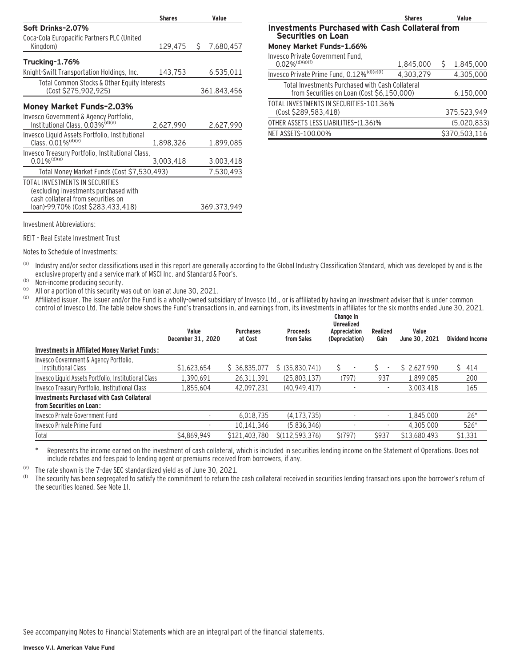|                                                                                                                | <b>Shares</b> |    | Value       |
|----------------------------------------------------------------------------------------------------------------|---------------|----|-------------|
| Soft Drinks-2.07%                                                                                              |               |    |             |
| Coca-Cola Europacific Partners PLC (United                                                                     |               |    |             |
| Kingdom)                                                                                                       | 129,475       | S. | 7,680,457   |
| Trucking-1.76%                                                                                                 |               |    |             |
| Knight-Swift Transportation Holdings, Inc.                                                                     | 143,753       |    | 6,535,011   |
| Total Common Stocks & Other Equity Interests                                                                   |               |    |             |
| (Cost \$275,902,925)                                                                                           |               |    | 361,843,456 |
| Money Market Funds-2.03%                                                                                       |               |    |             |
| Invesco Government & Agency Portfolio,<br>Institutional Class, 0.03% <sup>(d)(e)</sup>                         | 2,627,990     |    | 2,627,990   |
| Invesco Liquid Assets Portfolio, Institutional<br>Class. $0.01\%$ <sup>(d)(e)</sup>                            | 1.898.326     |    | 1,899,085   |
| Invesco Treasury Portfolio, Institutional Class,<br>$0.01\%$ <sup>(d)(e)</sup>                                 | 3,003,418     |    | 3,003,418   |
| Total Money Market Funds (Cost \$7,530,493)                                                                    |               |    | 7,530,493   |
| TOTAL INVESTMENTS IN SECURITIES<br>(excluding investments purchased with<br>cash collateral from securities on |               |    |             |
| loan)-99.70% (Cost \$283,433,418)                                                                              |               |    | 369,373,949 |

|                                                                                                | <b>Shares</b> |   | Value         |
|------------------------------------------------------------------------------------------------|---------------|---|---------------|
| <b>Investments Purchased with Cash Collateral from</b><br><b>Securities on Loan</b>            |               |   |               |
| Money Market Funds-1.66%                                                                       |               |   |               |
| Invesco Private Government Fund.<br>$0.02\%$ <sup>(d)(e)(f)</sup>                              | 1,845,000     | S | 1,845,000     |
| Invesco Private Prime Fund, 0.12% <sup>(d)(e)(f)</sup>                                         | 4,303,279     |   | 4,305,000     |
| Total Investments Purchased with Cash Collateral<br>from Securities on Loan (Cost \$6,150,000) |               |   | 6,150,000     |
| TOTAL INVESTMENTS IN SECURITIES-101.36%<br>(Cost \$289,583,418)                                |               |   | 375,523,949   |
| OTHER ASSETS LESS LIABILITIES-(1.36)%                                                          |               |   | (5,020,833)   |
| NET ASSETS-100.00%                                                                             |               |   | \$370,503,116 |

Investment Abbreviations:

REIT – Real Estate Investment Trust

Notes to Schedule of Investments:

(a) Industry and/or sector classifications used in this report are generally according to the Global Industry Classification Standard, which was developed by and is the exclusive property and a service mark of MSCI Inc. and Standard & Poor's.

(b) Non-income producing security.<br>  $\begin{bmatrix} \text{co} \\ \text{co} \\ \text{co} \end{bmatrix}$  and  $\alpha$  a portion of this security w

<sup>(c)</sup> All or a portion of this security was out on loan at June 30, 2021.<br><sup>(d)</sup> Affiliated issuer. The issuer and/or the Fund is a wholly-owned subs

Affiliated issuer. The issuer and/or the Fund is a wholly-owned subsidiary of Invesco Ltd., or is affiliated by having an investment adviser that is under common control of Invesco Ltd. The table below shows the Fund's transactions in, and earnings from, its investments in affiliates for the six months ended June 30, 2021.

|                                                                               | Value<br>December 31, 2020 | <b>Purchases</b><br>at Cost | <b>Proceeds</b><br>from Sales | Change in<br><b>Unrealized</b><br>Appreciation<br>(Depreciation) | Realized<br>Gain | Value<br>June 30, 2021 | <b>Dividend Income</b> |
|-------------------------------------------------------------------------------|----------------------------|-----------------------------|-------------------------------|------------------------------------------------------------------|------------------|------------------------|------------------------|
| Investments in Affiliated Money Market Funds:                                 |                            |                             |                               |                                                                  |                  |                        |                        |
| Invesco Government & Agency Portfolio,<br>Institutional Class                 | \$1,623,654                | \$36,835,077                | \$ (35,830,741)               | Ŝ<br>$\overline{\phantom{a}}$                                    | ٠                | \$2,627,990            | \$414                  |
| Invesco Liquid Assets Portfolio, Institutional Class                          | 1.390.691                  | 26,311,391                  | (25,803,137)                  | (797)                                                            | 937              | 1,899,085              | 200                    |
| Invesco Treasury Portfolio, Institutional Class                               | 1.855.604                  | 42.097.231                  | (40, 949, 417)                |                                                                  | ٠                | 3.003.418              | 165                    |
| <b>Investments Purchased with Cash Collateral</b><br>from Securities on Loan: |                            |                             |                               |                                                                  |                  |                        |                        |
| Invesco Private Government Fund                                               |                            | 6.018.735                   | (4.173.735)                   |                                                                  | ٠                | 1.845.000              | $26*$                  |
| Invesco Private Prime Fund                                                    |                            | 10.141.346                  | (5,836,346)                   |                                                                  | ٠                | 4.305.000              | 526*                   |
| Total                                                                         | \$4,869,949                | \$121,403,780               | \$(112, 593, 376)             | S(797)                                                           | \$937            | \$13,680,493           | \$1,331                |

Represents the income earned on the investment of cash collateral, which is included in securities lending income on the Statement of Operations. Does not include rebates and fees paid to lending agent or premiums received from borrowers, if any.

(e) The rate shown is the 7-day SEC standardized yield as of June 30, 2021.<br>(f) The security has been segregated to satisfy the commitment to return the

The security has been segregated to satisfy the commitment to return the cash collateral received in securities lending transactions upon the borrower's return of the securities loaned. See Note 1I.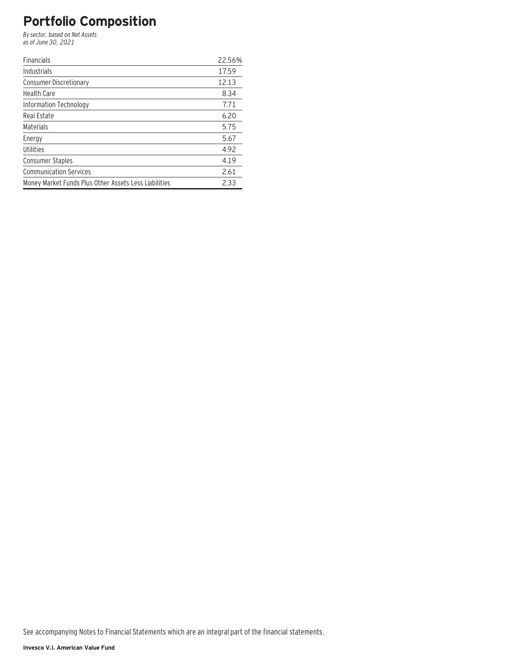## **Portfolio Composition**

By sector, based on Net Assets as of June 30, 2021

| <b>Financials</b>                                     | 22.56% |
|-------------------------------------------------------|--------|
| Industrials                                           | 17.59  |
| <b>Consumer Discretionary</b>                         | 12.13  |
| <b>Health Care</b>                                    | 8.34   |
| Information Technology                                | 7.71   |
| Real Estate                                           | 6.20   |
| Materials                                             | 5.75   |
| Energy                                                | 5.67   |
| Utilities                                             | 4.92   |
| <b>Consumer Staples</b>                               | 4.19   |
| <b>Communication Services</b>                         | 2.61   |
| Money Market Funds Plus Other Assets Less Liabilities | 2.33   |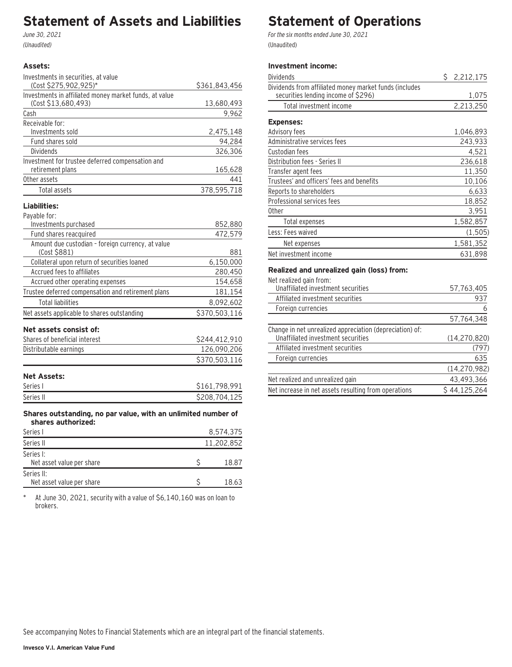## **Statement of Assets and Liabilities**

June 30, 2021 (Unaudited)

### **Assets:**

| Investments in securities, at value                                                 |                |
|-------------------------------------------------------------------------------------|----------------|
| (Cost \$275,902,925)*                                                               | \$361,843,456  |
| Investments in affiliated money market funds, at value                              |                |
| (Cost \$13,680,493)                                                                 | 13,680,493     |
| Cash                                                                                | 9,962          |
| Receivable for:                                                                     |                |
| Investments sold                                                                    | 2,475,148      |
| Fund shares sold                                                                    | 94,284         |
| <b>Dividends</b>                                                                    | 326,306        |
| Investment for trustee deferred compensation and                                    |                |
| retirement plans<br>Other assets                                                    | 165,628<br>441 |
|                                                                                     |                |
| Total assets                                                                        | 378,595,718    |
| Liabilities:                                                                        |                |
| Payable for:                                                                        |                |
| Investments purchased                                                               | 852,880        |
| Fund shares reacquired                                                              | 472,579        |
| Amount due custodian - foreign currency, at value                                   |                |
| (Cost \$881)                                                                        | 881            |
| Collateral upon return of securities loaned                                         | 6,150,000      |
| Accrued fees to affiliates                                                          | 280,450        |
| Accrued other operating expenses                                                    | 154,658        |
| Trustee deferred compensation and retirement plans                                  | 181,154        |
| <b>Total liabilities</b>                                                            | 8,092,602      |
| Net assets applicable to shares outstanding                                         | \$370,503,116  |
| Net assets consist of:                                                              |                |
| Shares of beneficial interest                                                       | \$244,412,910  |
| Distributable earnings                                                              | 126,090,206    |
|                                                                                     | \$370,503,116  |
|                                                                                     |                |
| <b>Net Assets:</b>                                                                  |                |
| Series I                                                                            | \$161,798,991  |
| Series II                                                                           | \$208,704,125  |
|                                                                                     |                |
| Shares outstanding, no par value, with an unlimited number of<br>shares authorized: |                |
| Series I                                                                            | 8,574,375      |
| Series II                                                                           | 11,202,852     |
| Series I:                                                                           |                |
| Net asset value per share                                                           | \$<br>18.87    |
| Series II:                                                                          |                |

\* At June 30, 2021, security with a value of \$6,140,160 was on loan to brokers.

Net asset value per share  $$ 18.63$ 

# **Statement of Operations**

For the six months ended June 30, 2021 (Unaudited)

### **Investment income:**

| Dividends                                                                                     | S. | 2,212,175 |
|-----------------------------------------------------------------------------------------------|----|-----------|
| Dividends from affiliated money market funds (includes<br>securities lending income of \$296) |    | 1,075     |
| Total investment income                                                                       |    | 2,213,250 |
| <b>Expenses:</b>                                                                              |    |           |
| Advisory fees                                                                                 |    | 1,046,893 |
| Administrative services fees                                                                  |    | 243,933   |
| Custodian fees                                                                                |    | 4,521     |
| Distribution fees - Series II                                                                 |    | 236,618   |
| Transfer agent fees                                                                           |    | 11,350    |
| Trustees' and officers' fees and benefits                                                     |    | 10,106    |
| Reports to shareholders                                                                       |    | 6,633     |
| Professional services fees                                                                    |    | 18,852    |
| 0ther                                                                                         |    | 3,951     |
| Total expenses                                                                                |    | 1,582,857 |
| Less: Fees waived                                                                             |    | (1, 505)  |
| Net expenses                                                                                  |    | 1,581,352 |
| Net investment income                                                                         |    | 631,898   |

### **Realized and unrealized gain (loss) from:**

| Net realized gain from:                                  |                |
|----------------------------------------------------------|----------------|
| Unaffiliated investment securities                       | 57,763,405     |
| Affiliated investment securities                         | 937            |
| Foreign currencies                                       | 6              |
|                                                          | 57,764,348     |
| Change in net unrealized appreciation (depreciation) of: |                |
| Unaffiliated investment securities                       | (14, 270, 820) |
| Affiliated investment securities                         | (797)          |
| Foreign currencies                                       | 635            |
|                                                          | (14, 270, 982) |
| Net realized and unrealized gain                         | 43,493,366     |
| Net increase in net assets resulting from operations     | \$44,125,264   |
|                                                          |                |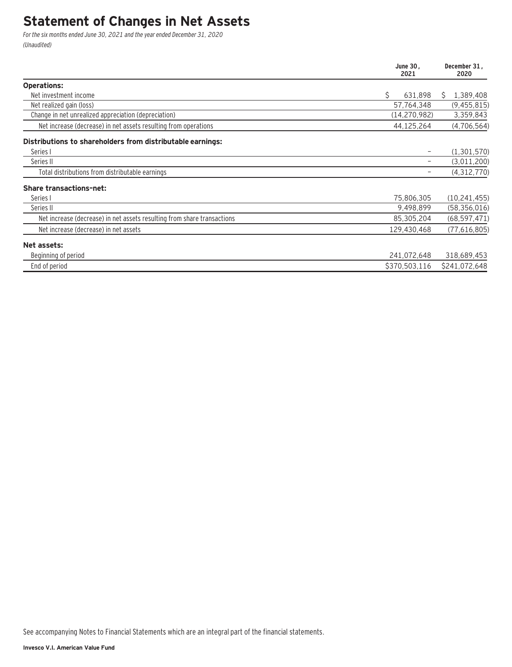## **Statement of Changes in Net Assets**

For the six months ended June 30, 2021 and the year ended December 31, 2020 (Unaudited)

|                                                                         | June 30.<br>2021 | December 31.<br>2020 |  |
|-------------------------------------------------------------------------|------------------|----------------------|--|
| <b>Operations:</b>                                                      |                  |                      |  |
| Net investment income                                                   | Ś.<br>631,898    | 1,389,408<br>Ŝ.      |  |
| Net realized gain (loss)                                                | 57,764,348       | (9,455,815)          |  |
| Change in net unrealized appreciation (depreciation)                    | (14, 270, 982)   | 3,359,843            |  |
| Net increase (decrease) in net assets resulting from operations         | 44,125,264       | (4,706,564)          |  |
| Distributions to shareholders from distributable earnings:              |                  |                      |  |
| Series I                                                                |                  | (1,301,570)          |  |
| Series II                                                               |                  | (3,011,200)          |  |
| Total distributions from distributable earnings                         |                  | (4,312,770)          |  |
| <b>Share transactions-net:</b>                                          |                  |                      |  |
| Series I                                                                | 75,806,305       | (10, 241, 455)       |  |
| Series II                                                               | 9,498,899        | (58, 356, 016)       |  |
| Net increase (decrease) in net assets resulting from share transactions | 85,305,204       | (68, 597, 471)       |  |
| Net increase (decrease) in net assets                                   | 129,430,468      | (77,616,805)         |  |
| Net assets:                                                             |                  |                      |  |
| Beginning of period                                                     | 241,072,648      | 318,689,453          |  |
| End of period                                                           | \$370,503,116    | \$241,072,648        |  |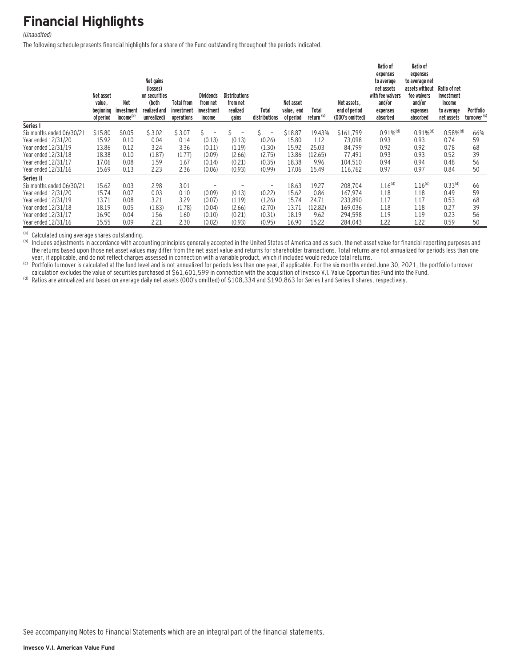# **Financial Highlights**

#### (Unaudited)

The following schedule presents financial highlights for a share of the Fund outstanding throughout the periods indicated.

|                           | Net asset<br>value,<br>beginning<br>of period | <b>Net</b><br>investment<br>income <sup>(a)</sup> | Net gains<br>(losses)<br>on securities<br>(both<br>realized and<br>unrealized) | <b>Total from</b><br>investment<br>operations | <b>Dividends</b><br>from net<br>investment<br>income | Distributions<br>from net<br>realized<br>qains | Total<br>distributions         | Net asset<br>value, end<br>of period | Total<br>return <sup>(b)</sup> | Net assets.<br>end of period<br>(000's omitted) | Ratio of<br>expenses<br>to average<br>net assets<br>with fee waivers<br>and/or<br>expenses<br>absorbed | Ratio of<br>expenses<br>to average net<br>assets without<br>fee waivers<br>and/or<br>expenses<br>absorbed | Ratio of net<br>investment<br>income<br>to average<br>net assets | Portfolio<br>turnover <sup>(c)</sup> |
|---------------------------|-----------------------------------------------|---------------------------------------------------|--------------------------------------------------------------------------------|-----------------------------------------------|------------------------------------------------------|------------------------------------------------|--------------------------------|--------------------------------------|--------------------------------|-------------------------------------------------|--------------------------------------------------------------------------------------------------------|-----------------------------------------------------------------------------------------------------------|------------------------------------------------------------------|--------------------------------------|
| Series I                  |                                               |                                                   |                                                                                |                                               |                                                      |                                                |                                |                                      |                                |                                                 |                                                                                                        |                                                                                                           |                                                                  |                                      |
| Six months ended 06/30/21 | \$15.80                                       | \$0.05                                            | \$3.02                                                                         | \$3.07                                        | S.<br>$\qquad \qquad -$                              |                                                | \$<br>$\overline{\phantom{a}}$ | \$18.87                              | 19.43%                         | \$161,799                                       | $0.91\%$ <sup>(d)</sup>                                                                                | $0.91\%$ <sup>(d)</sup>                                                                                   | $0.58\%$ <sup>(d)</sup>                                          | 66%                                  |
| Year ended 12/31/20       | 15.92                                         | 0.10                                              | 0.04                                                                           | 0.14                                          | (0.13)                                               | (0.13)                                         | (0.26)                         | 15.80                                | 1.12                           | 73,098                                          | 0.93                                                                                                   | 0.93                                                                                                      | 0.74                                                             | 59                                   |
| Year ended 12/31/19       | 13.86                                         | 0.12                                              | 3.24                                                                           | 3.36                                          | (0.11)                                               | (1.19)                                         | (1.30)                         | 15.92                                | 25.03                          | 84,799                                          | 0.92                                                                                                   | 0.92                                                                                                      | 0.78                                                             | 68                                   |
| Year ended 12/31/18       | 18.38                                         | 0.10                                              | (1.87)                                                                         | (1.77)                                        | (0.09)                                               | (2.66)                                         | (2.75)                         | 13.86                                | (12.65)                        | 77.491                                          | 0.93                                                                                                   | 0.93                                                                                                      | 0.52                                                             | 39                                   |
| Year ended 12/31/17       | 17.06                                         | 0.08                                              | 1.59                                                                           | 1.67                                          | (0.14)                                               | (0.21)                                         | (0.35)                         | 18.38                                | 9.96                           | 104.510                                         | 0.94                                                                                                   | 0.94                                                                                                      | 0.48                                                             | 56                                   |
| Year ended 12/31/16       | 15.69                                         | 0.13                                              | 2.23                                                                           | 2.36                                          | (0.06)                                               | (0.93)                                         | (0.99)                         | 17.06                                | 15.49                          | 116,762                                         | 0.97                                                                                                   | 0.97                                                                                                      | 0.84                                                             | 50                                   |
| Series II                 |                                               |                                                   |                                                                                |                                               |                                                      |                                                |                                |                                      |                                |                                                 |                                                                                                        |                                                                                                           |                                                                  |                                      |
| Six months ended 06/30/21 | 15.62                                         | 0.03                                              | 2.98                                                                           | 3.01                                          |                                                      |                                                | $\overline{\phantom{0}}$       | 18.63                                | 19.27                          | 208,704                                         | 1.16 <sup>(d)</sup>                                                                                    | 1.16 <sup>(d)</sup>                                                                                       | 0.33 <sup>(d)</sup>                                              | 66                                   |
| Year ended 12/31/20       | 15.74                                         | 0.07                                              | 0.03                                                                           | 0.10                                          | (0.09)                                               | (0.13)                                         | (0.22)                         | 15.62                                | 0.86                           | 167.974                                         | 1.18                                                                                                   | 1.18                                                                                                      | 0.49                                                             | 59                                   |
| Year ended 12/31/19       | 13.71                                         | 0.08                                              | 3.21                                                                           | 3.29                                          | (0.07)                                               | (1.19)                                         | (1.26)                         | 15.74                                | 24.71                          | 233,890                                         | 1.17                                                                                                   | 1.17                                                                                                      | 0.53                                                             | 68                                   |
| Year ended 12/31/18       | 18.19                                         | 0.05                                              | (1.83)                                                                         | (1.78)                                        | (0.04)                                               | (2.66)                                         | (2.70)                         | 13.71                                | (12.82)                        | 169,036                                         | 1.18                                                                                                   | 1.18                                                                                                      | 0.27                                                             | 39                                   |
| Year ended 12/31/17       | 16.90                                         | 0.04                                              | 1.56                                                                           | 1.60                                          | (0.10)                                               | (0.21)                                         | (0.31)                         | 18.19                                | 9.62                           | 294,598                                         | 1.19                                                                                                   | 1.19                                                                                                      | 0.23                                                             | 56                                   |
| Year ended 12/31/16       | 15.55                                         | 0.09                                              | 2.21                                                                           | 2.30                                          | (0.02)                                               | (0.93)                                         | (0.95)                         | 16.90                                | 15.22                          | 284,043                                         | 1.22                                                                                                   | 1.22                                                                                                      | 0.59                                                             | 50                                   |

(a) Calculated using average shares outstanding.<br>(b) Includes adjustments in accordance with accounting principles generally accepted in the United States of America and as such, the net asset value for financial reporting the returns based upon those net asset values may differ from the net asset value and returns for shareholder transactions. Total returns are not annualized for periods less than one year, if applicable, and do not reflect

ediculation excludes the value of securities purchased of \$61,601,599 in connection with the acquisition of Investor V.I. Value Opportunities Fund into the Fund.<br>Comparison of the six months ended June 30, 2021, the portfo

(d) Ratios are annualized and based on average daily net assets (000's omitted) of \$108,334 and \$190,863 for Series I and Series II shares, respectively.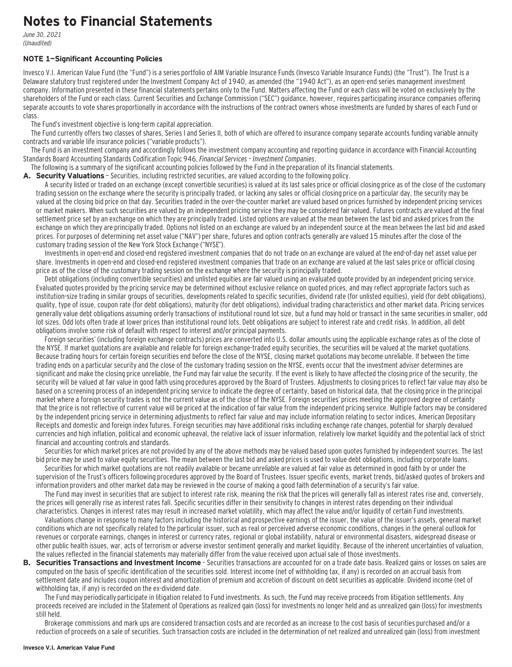## **Notes to Financial Statements**

June 30, 2021 (Unaudited)

#### **NOTE 1—Significant Accounting Policies**

Invesco V.I. American Value Fund (the "Fund") is a series portfolio of AIM Variable Insurance Funds (Invesco Variable Insurance Funds) (the "Trust"). The Trust is a Delaware statutory trust registered under the Investment Company Act of 1940, as amended (the "1940 Act"), as an open-end series management investment company. Information presented in these financial statements pertains only to the Fund. Matters affecting the Fund or each class will be voted on exclusively by the shareholders of the Fund or each class. Current Securities and Exchange Commission ("SEC") guidance, however, requires participating insurance companies offering separate accounts to vote shares proportionally in accordance with the instructions of the contract owners whose investments are funded by shares of each Fund or class.

The Fund's investment objective is long-term capital appreciation.

The Fund currently offers two classes of shares, Series I and Series II, both of which are offered to insurance company separate accounts funding variable annuity contracts and variable life insurance policies ("variable products").

The Fund is an investment company and accordingly follows the investment company accounting and reporting guidance in accordance with Financial Accounting Standards Board Accounting Standards Codification Topic 946, Financial Services – Investment Companies.

The following is a summary of the significant accounting policies followed by the Fund in the preparation of its financial statements.

**A. Security Valuations** — Securities, including restricted securities, are valued according to the following policy.

A security listed or traded on an exchange (except convertible securities) is valued at its last sales price or official closing price as of the close of the customary trading session on the exchange where the security is principally traded, or lacking any sales or official closing price on a particular day, the security may be valued at the closing bid price on that day. Securities traded in the over-the-counter market are valued based on prices furnished by independent pricing services or market makers. When such securities are valued by an independent pricing service they may be considered fair valued. Futures contracts are valued at the final settlement price set by an exchange on which they are principally traded. Listed options are valued at the mean between the last bid and asked prices from the exchange on which they are principally traded. Options not listed on an exchange are valued by an independent source at the mean between the last bid and asked prices. For purposes of determining net asset value ("NAV") per share, futures and option contracts generally are valued 15 minutes after the close of the customary trading session of the New York Stock Exchange ("NYSE").

Investments in open-end and closed-end registered investment companies that do not trade on an exchange are valued at the end-of-day net asset value per share. Investments in open-end and closed-end registered investment companies that trade on an exchange are valued at the last sales price or official closing price as of the close of the customary trading session on the exchange where the security is principally traded.

Debt obligations (including convertible securities) and unlisted equities are fair valued using an evaluated quote provided by an independent pricing service. Evaluated quotes provided by the pricing service may be determined without exclusive reliance on quoted prices, and may reflect appropriate factors such as institution-size trading in similar groups of securities, developments related to specific securities, dividend rate (for unlisted equities), yield (for debt obligations), quality, type of issue, coupon rate (for debt obligations), maturity (for debt obligations), individual trading characteristics and other market data. Pricing services generally value debt obligations assuming orderly transactions of institutional round lot size, but a fund may hold or transact in the same securities in smaller, odd lot sizes. Odd lots often trade at lower prices than institutional round lots. Debt obligations are subject to interest rate and credit risks. In addition, all debt obligations involve some risk of default with respect to interest and/or principal payments.

Foreign securities' (including foreign exchange contracts) prices are converted into U.S. dollar amounts using the applicable exchange rates as of the close of the NYSE. If market quotations are available and reliable for foreign exchange-traded equity securities, the securities will be valued at the market quotations. Because trading hours for certain foreign securities end before the close of the NYSE, closing market quotations may become unreliable. If between the time trading ends on a particular security and the close of the customary trading session on the NYSE, events occur that the investment adviser determines are significant and make the closing price unreliable, the Fund may fair value the security. If the event is likely to have affected the closing price of the security, the security will be valued at fair value in good faith using procedures approved by the Board of Trustees. Adjustments to closing prices to reflect fair value may also be based on a screening process of an independent pricing service to indicate the degree of certainty, based on historical data, that the closing price in the principal market where a foreign security trades is not the current value as of the close of the NYSE. Foreign securities' prices meeting the approved degree of certainty that the price is not reflective of current value will be priced at the indication of fair value from the independent pricing service. Multiple factors may be considered by the independent pricing service in determining adjustments to reflect fair value and may include information relating to sector indices, American Depositary Receipts and domestic and foreign index futures. Foreign securities may have additional risks including exchange rate changes, potential for sharply devalued currencies and high inflation, political and economic upheaval, the relative lack of issuer information, relatively low market liquidity and the potential lack of strict financial and accounting controls and standards.

Securities for which market prices are not provided by any of the above methods may be valued based upon quotes furnished by independent sources. The last bid price may be used to value equity securities. The mean between the last bid and asked prices is used to value debt obligations, including corporate loans.

Securities for which market quotations are not readily available or became unreliable are valued at fair value as determined in good faith by or under the supervision of the Trust's officers following procedures approved by the Board of Trustees. Issuer specific events, market trends, bid/asked quotes of brokers and information providers and other market data may be reviewed in the course of making a good faith determination of a security's fair value.

The Fund may invest in securities that are subject to interest rate risk, meaning the risk that the prices will generally fall as interest rates rise and, conversely, the prices will generally rise as interest rates fall. Specific securities differ in their sensitivity to changes in interest rates depending on their individual characteristics. Changes in interest rates may result in increased market volatility, which may affect the value and/or liquidity of certain Fund investments.

Valuations change in response to many factors including the historical and prospective earnings of the issuer, the value of the issuer's assets, general market conditions which are not specifically related to the particular issuer, such as real or perceived adverse economic conditions, changes in the general outlook for revenues or corporate earnings, changes in interest or currency rates, regional or global instability, natural or environmental disasters, widespread disease or other public health issues, war, acts of terrorism or adverse investor sentiment generally and market liquidity. Because of the inherent uncertainties of valuation, the values reflected in the financial statements may materially differ from the value received upon actual sale of those investments.

**B. Securities Transactions and Investment Income** - Securities transactions are accounted for on a trade date basis. Realized gains or losses on sales are computed on the basis of specific identification of the securities sold. Interest income (net of withholding tax, if any) is recorded on an accrual basis from settlement date and includes coupon interest and amortization of premium and accretion of discount on debt securities as applicable. Dividend income (net of withholding tax, if any) is recorded on the ex-dividend date.

The Fund may periodically participate in litigation related to Fund investments. As such, the Fund may receive proceeds from litigation settlements. Any proceeds received are included in the Statement of Operations as realized gain (loss) for investments no longer held and as unrealized gain (loss) for investments still held.

Brokerage commissions and mark ups are considered transaction costs and are recorded as an increase to the cost basis of securities purchased and/or a reduction of proceeds on a sale of securities. Such transaction costs are included in the determination of net realized and unrealized gain (loss) from investment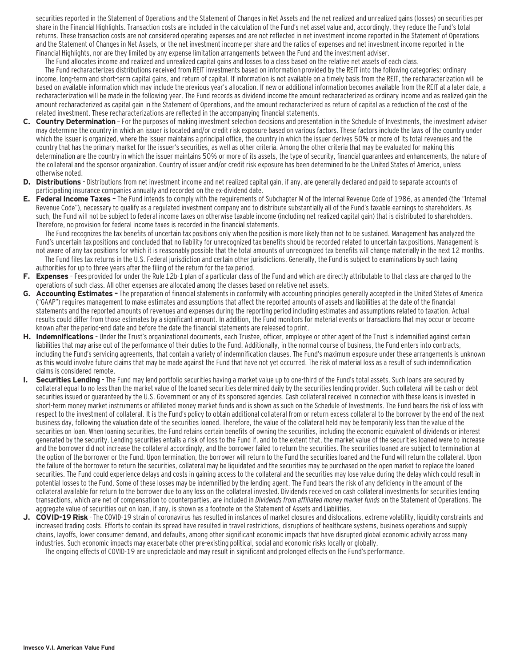securities reported in the Statement of Operations and the Statement of Changes in Net Assets and the net realized and unrealized gains (losses) on securities per share in the Financial Highlights. Transaction costs are included in the calculation of the Fund's net asset value and, accordingly, they reduce the Fund's total returns. These transaction costs are not considered operating expenses and are not reflected in net investment income reported in the Statement of Operations and the Statement of Changes in Net Assets, or the net investment income per share and the ratios of expenses and net investment income reported in the Financial Highlights, nor are they limited by any expense limitation arrangements between the Fund and the investment adviser.

The Fund allocates income and realized and unrealized capital gains and losses to a class based on the relative net assets of each class.

The Fund recharacterizes distributions received from REIT investments based on information provided by the REIT into the following categories: ordinary income, long-term and short-term capital gains, and return of capital. If information is not available on a timely basis from the REIT, the recharacterization will be based on available information which may include the previous year's allocation. If new or additional information becomes available from the REIT at a later date, a recharacterization will be made in the following year. The Fund records as dividend income the amount recharacterized as ordinary income and as realized gain the amount recharacterized as capital gain in the Statement of Operations, and the amount recharacterized as return of capital as a reduction of the cost of the related investment. These recharacterizations are reflected in the accompanying financial statements.

- **C. Country Determination**  For the purposes of making investment selection decisions and presentation in the Schedule of Investments, the investment adviser may determine the country in which an issuer is located and/or credit risk exposure based on various factors. These factors include the laws of the country under which the issuer is organized, where the issuer maintains a principal office, the country in which the issuer derives 50% or more of its total revenues and the country that has the primary market for the issuer's securities, as well as other criteria. Among the other criteria that may be evaluated for making this determination are the country in which the issuer maintains 50% or more of its assets, the type of security, financial guarantees and enhancements, the nature of the collateral and the sponsor organization. Country of issuer and/or credit risk exposure has been determined to be the United States of America, unless otherwise noted.
- **D. Distributions**  Distributions from net investment income and net realized capital gain, if any, are generally declared and paid to separate accounts of participating insurance companies annually and recorded on the ex-dividend date.
- **E. Federal Income Taxes** The Fund intends to comply with the requirements of Subchapter M of the Internal Revenue Code of 1986, as amended (the "Internal Revenue Code"), necessary to qualify as a regulated investment company and to distribute substantially all of the Fund's taxable earnings to shareholders. As such, the Fund will not be subject to federal income taxes on otherwise taxable income (including net realized capital gain) that is distributed to shareholders. Therefore, no provision for federal income taxes is recorded in the financial statements.

The Fund recognizes the tax benefits of uncertain tax positions only when the position is more likely than not to be sustained. Management has analyzed the Fund's uncertain tax positions and concluded that no liability for unrecognized tax benefits should be recorded related to uncertain tax positions. Management is not aware of any tax positions for which it is reasonably possible that the total amounts of unrecognized tax benefits will change materially in the next 12 months. The Fund files tax returns in the U.S. Federal jurisdiction and certain other jurisdictions. Generally, the Fund is subject to examinations by such taxing authorities for up to three years after the filing of the return for the tax period.

- **F. Expenses**  Fees provided for under the Rule 12b-1 plan of a particular class of the Fund and which are directly attributable to that class are charged to the operations of such class. All other expenses are allocated among the classes based on relative net assets.
- **G. Accounting Estimates** The preparation of financial statements in conformity with accounting principles generally accepted in the United States of America ("GAAP") requires management to make estimates and assumptions that affect the reported amounts of assets and liabilities at the date of the financial statements and the reported amounts of revenues and expenses during the reporting period including estimates and assumptions related to taxation. Actual results could differ from those estimates by a significant amount. In addition, the Fund monitors for material events or transactions that may occur or become known after the period-end date and before the date the financial statements are released to print.
- **H. Indemnifications**  Under the Trust's organizational documents, each Trustee, officer, employee or other agent of the Trust is indemnified against certain liabilities that may arise out of the performance of their duties to the Fund. Additionally, in the normal course of business, the Fund enters into contracts, including the Fund's servicing agreements, that contain a variety of indemnification clauses. The Fund's maximum exposure under these arrangements is unknown as this would involve future claims that may be made against the Fund that have not yet occurred. The risk of material loss as a result of such indemnification claims is considered remote.
- **I. Securities Lending**  The Fund may lend portfolio securities having a market value up to one-third of the Fund's total assets. Such loans are secured by collateral equal to no less than the market value of the loaned securities determined daily by the securities lending provider. Such collateral will be cash or debt securities issued or guaranteed by the U.S. Government or any of its sponsored agencies. Cash collateral received in connection with these loans is invested in short-term money market instruments or affiliated money market funds and is shown as such on the Schedule of Investments. The Fund bears the risk of loss with respect to the investment of collateral. It is the Fund's policy to obtain additional collateral from or return excess collateral to the borrower by the end of the next business day, following the valuation date of the securities loaned. Therefore, the value of the collateral held may be temporarily less than the value of the securities on loan. When loaning securities, the Fund retains certain benefits of owning the securities, including the economic equivalent of dividends or interest generated by the security. Lending securities entails a risk of loss to the Fund if, and to the extent that, the market value of the securities loaned were to increase and the borrower did not increase the collateral accordingly, and the borrower failed to return the securities. The securities loaned are subject to termination at the option of the borrower or the Fund. Upon termination, the borrower will return to the Fund the securities loaned and the Fund will return the collateral. Upon the failure of the borrower to return the securities, collateral may be liquidated and the securities may be purchased on the open market to replace the loaned securities. The Fund could experience delays and costs in gaining access to the collateral and the securities may lose value during the delay which could result in potential losses to the Fund. Some of these losses may be indemnified by the lending agent. The Fund bears the risk of any deficiency in the amount of the collateral available for return to the borrower due to any loss on the collateral invested. Dividends received on cash collateral investments for securities lending transactions, which are net of compensation to counterparties, are included in Dividends from affiliated money market funds on the Statement of Operations. The aggregate value of securities out on loan, if any, is shown as a footnote on the Statement of Assets and Liabilities.
- **J. COVID-19 Risk**  The COVID-19 strain of coronavirus has resulted in instances of market closures and dislocations, extreme volatility, liquidity constraints and increased trading costs. Efforts to contain its spread have resulted in travel restrictions, disruptions of healthcare systems, business operations and supply chains, layoffs, lower consumer demand, and defaults, among other significant economic impacts that have disrupted global economic activity across many industries. Such economic impacts may exacerbate other pre-existing political, social and economic risks locally or globally.

The ongoing effects of COVID-19 are unpredictable and may result in significant and prolonged effects on the Fund's performance.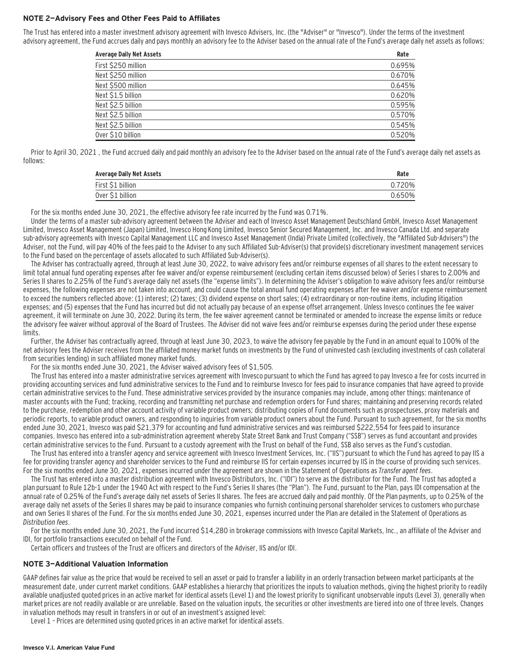#### **NOTE 2—Advisory Fees and Other Fees Paid to Affiliates**

The Trust has entered into a master investment advisory agreement with Invesco Advisers, Inc. (the "Adviser" or "Invesco"). Under the terms of the investment advisory agreement, the Fund accrues daily and pays monthly an advisory fee to the Adviser based on the annual rate of the Fund's average daily net assets as follows:

| First \$250 million<br>Next \$250 million | <b>Average Daily Net Assets</b> | Rate   |
|-------------------------------------------|---------------------------------|--------|
|                                           |                                 | 0.695% |
|                                           |                                 | 0.670% |
| Next \$500 million                        |                                 | 0.645% |
| Next \$1.5 billion                        |                                 | 0.620% |
| Next \$2.5 billion                        |                                 | 0.595% |
| Next \$2.5 billion                        |                                 | 0.570% |
| Next \$2.5 billion                        |                                 | 0.545% |
| Over \$10 billion                         |                                 | 0.520% |

Prior to April 30, 2021 , the Fund accrued daily and paid monthly an advisory fee to the Adviser based on the annual rate of the Fund's average daily net assets as follows:

| <b>Average Daily Net Assets</b> | Rate   |
|---------------------------------|--------|
| First \$1 billion               | 20%    |
| Over \$1 billion                | 0.650% |

For the six months ended June 30, 2021, the effective advisory fee rate incurred by the Fund was 0.71%.

Under the terms of a master sub-advisory agreement between the Adviser and each of Invesco Asset Management Deutschland GmbH, Invesco Asset Management Limited, Invesco Asset Management (Japan) Limited, Invesco Hong Kong Limited, Invesco Senior Secured Management, Inc. and Invesco Canada Ltd. and separate sub-advisory agreements with Invesco Capital Management LLC and Invesco Asset Management (India) Private Limited (collectively, the "Affiliated Sub-Advisers") the Adviser, not the Fund, will pay 40% of the fees paid to the Adviser to any such Affiliated Sub-Adviser(s) that provide(s) discretionary investment management services to the Fund based on the percentage of assets allocated to such Affiliated Sub-Adviser(s).

The Adviser has contractually agreed, through at least June 30, 2022, to waive advisory fees and/or reimburse expenses of all shares to the extent necessary to limit total annual fund operating expenses after fee waiver and/or expense reimbursement (excluding certain items discussed below) of Series I shares to 2.00% and Series II shares to 2.25% of the Fund's average daily net assets (the "expense limits"). In determining the Adviser's obligation to waive advisory fees and/or reimburse expenses, the following expenses are not taken into account, and could cause the total annual fund operating expenses after fee waiver and/or expense reimbursement to exceed the numbers reflected above: (1) interest; (2) taxes; (3) dividend expense on short sales; (4) extraordinary or non-routine items, including litigation expenses; and (5) expenses that the Fund has incurred but did not actually pay because of an expense offset arrangement. Unless Invesco continues the fee waiver agreement, it will terminate on June 30, 2022. During its term, the fee waiver agreement cannot be terminated or amended to increase the expense limits or reduce the advisory fee waiver without approval of the Board of Trustees. The Adviser did not waive fees and/or reimburse expenses during the period under these expense limits.

Further, the Adviser has contractually agreed, through at least June 30, 2023, to waive the advisory fee payable by the Fund in an amount equal to 100% of the net advisory fees the Adviser receives from the affiliated money market funds on investments by the Fund of uninvested cash (excluding investments of cash collateral from securities lending) in such affiliated money market funds.

For the six months ended June 30, 2021, the Adviser waived advisory fees of \$1,505.

The Trust has entered into a master administrative services agreement with Invesco pursuant to which the Fund has agreed to pay Invesco a fee for costs incurred in providing accounting services and fund administrative services to the Fund and to reimburse Invesco for fees paid to insurance companies that have agreed to provide certain administrative services to the Fund. These administrative services provided by the insurance companies may include, among other things: maintenance of master accounts with the Fund; tracking, recording and transmitting net purchase and redemption orders for Fund shares; maintaining and preserving records related to the purchase, redemption and other account activity of variable product owners; distributing copies of Fund documents such as prospectuses, proxy materials and periodic reports, to variable product owners, and responding to inquiries from variable product owners about the Fund. Pursuant to such agreement, for the six months ended June 30, 2021, Invesco was paid \$21,379 for accounting and fund administrative services and was reimbursed \$222,554 for fees paid to insurance companies. Invesco has entered into a sub-administration agreement whereby State Street Bank and Trust Company ("SSB") serves as fund accountant and provides certain administrative services to the Fund. Pursuant to a custody agreement with the Trust on behalf of the Fund, SSB also serves as the Fund's custodian.

The Trust has entered into a transfer agency and service agreement with Invesco Investment Services, Inc. ("IIS") pursuant to which the Fund has agreed to pay IIS a fee for providing transfer agency and shareholder services to the Fund and reimburse IIS for certain expenses incurred by IIS in the course of providing such services. For the six months ended June 30, 2021, expenses incurred under the agreement are shown in the Statement of Operations as Transfer agent fees.

The Trust has entered into a master distribution agreement with Invesco Distributors, Inc. ("IDI") to serve as the distributor for the Fund. The Trust has adopted a plan pursuant to Rule 12b-1 under the 1940 Act with respect to the Fund's Series II shares (the "Plan"). The Fund, pursuant to the Plan, pays IDI compensation at the annual rate of 0.25% of the Fund's average daily net assets of Series II shares. The fees are accrued daily and paid monthly. Of the Plan payments, up to 0.25% of the average daily net assets of the Series II shares may be paid to insurance companies who furnish continuing personal shareholder services to customers who purchase and own Series II shares of the Fund. For the six months ended June 30, 2021, expenses incurred under the Plan are detailed in the Statement of Operations as Distribution fees.

For the six months ended June 30, 2021, the Fund incurred \$14,280 in brokerage commissions with Invesco Capital Markets, Inc., an affiliate of the Adviser and IDI, for portfolio transactions executed on behalf of the Fund.

Certain officers and trustees of the Trust are officers and directors of the Adviser, IIS and/or IDI.

#### **NOTE 3—Additional Valuation Information**

GAAP defines fair value as the price that would be received to sell an asset or paid to transfer a liability in an orderly transaction between market participants at the measurement date, under current market conditions. GAAP establishes a hierarchy that prioritizes the inputs to valuation methods, giving the highest priority to readily available unadjusted quoted prices in an active market for identical assets (Level 1) and the lowest priority to significant unobservable inputs (Level 3), generally when market prices are not readily available or are unreliable. Based on the valuation inputs, the securities or other investments are tiered into one of three levels. Changes in valuation methods may result in transfers in or out of an investment's assigned level:

Level 1 – Prices are determined using quoted prices in an active market for identical assets.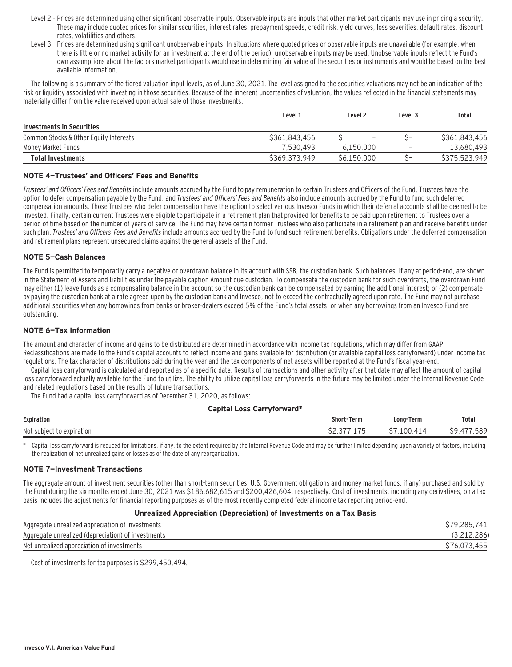- Level 2 Prices are determined using other significant observable inputs. Observable inputs are inputs that other market participants may use in pricing a security. These may include quoted prices for similar securities, interest rates, prepayment speeds, credit risk, yield curves, loss severities, default rates, discount rates, volatilities and others.
- Level 3 Prices are determined using significant unobservable inputs. In situations where quoted prices or observable inputs are unavailable (for example, when there is little or no market activity for an investment at the end of the period), unobservable inputs may be used. Unobservable inputs reflect the Fund's own assumptions about the factors market participants would use in determining fair value of the securities or instruments and would be based on the best available information.

The following is a summary of the tiered valuation input levels, as of June 30, 2021. The level assigned to the securities valuations may not be an indication of the risk or liquidity associated with investing in those securities. Because of the inherent uncertainties of valuation, the values reflected in the financial statements may materially differ from the value received upon actual sale of those investments.

|                                        | Level 1       | Level <sub>2</sub>       | Level 3                  | Total         |
|----------------------------------------|---------------|--------------------------|--------------------------|---------------|
| Investments in Securities              |               |                          |                          |               |
| Common Stocks & Other Equity Interests | \$361,843,456 | $\overline{\phantom{m}}$ | ~-                       | \$361,843,456 |
| Money Market Funds                     | 7.530.493     | 6.150.000                | $\overline{\phantom{a}}$ | 13,680,493    |
| <b>Total Investments</b>               | \$369,373,949 | S6.150.000               | ~-                       | \$375,523,949 |

#### **NOTE 4—Trustees' and Officers' Fees and Benefits**

Trustees' and Officers' Fees and Benefits include amounts accrued by the Fund to pay remuneration to certain Trustees and Officers of the Fund. Trustees have the option to defer compensation payable by the Fund, and *Trustees' and Officers' Fees and Benefits* also include amounts accrued by the Fund to fund such deferred compensation amounts. Those Trustees who defer compensation have the option to select various Invesco Funds in which their deferral accounts shall be deemed to be invested. Finally, certain current Trustees were eligible to participate in a retirement plan that provided for benefits to be paid upon retirement to Trustees over a period of time based on the number of years of service. The Fund may have certain former Trustees who also participate in a retirement plan and receive benefits under such plan. Trustees' and Officers' Fees and Benefits include amounts accrued by the Fund to fund such retirement benefits. Obligations under the deferred compensation and retirement plans represent unsecured claims against the general assets of the Fund.

#### **NOTE 5—Cash Balances**

The Fund is permitted to temporarily carry a negative or overdrawn balance in its account with SSB, the custodian bank. Such balances, if any at period-end, are shown in the Statement of Assets and Liabilities under the payable caption Amount due custodian. To compensate the custodian bank for such overdrafts, the overdrawn Fund may either (1) leave funds as a compensating balance in the account so the custodian bank can be compensated by earning the additional interest; or (2) compensate by paying the custodian bank at a rate agreed upon by the custodian bank and Invesco, not to exceed the contractually agreed upon rate. The Fund may not purchase additional securities when any borrowings from banks or broker-dealers exceed 5% of the Fund's total assets, or when any borrowings from an Invesco Fund are outstanding.

#### **NOTE 6—Tax Information**

The amount and character of income and gains to be distributed are determined in accordance with income tax regulations, which may differ from GAAP. Reclassifications are made to the Fund's capital accounts to reflect income and gains available for distribution (or available capital loss carryforward) under income tax regulations. The tax character of distributions paid during the year and the tax components of net assets will be reported at the Fund's fiscal year-end.

Capital loss carryforward is calculated and reported as of a specific date. Results of transactions and other activity after that date may affect the amount of capital loss carryforward actually available for the Fund to utilize. The ability to utilize capital loss carryforwards in the future may be limited under the Internal Revenue Code and related regulations based on the results of future transactions.

The Fund had a capital loss carryforward as of December 31, 2020, as follows:

#### **Capital Loss Carryforward\***

| <b>Expiration</b>                               | shor<br>Term<br>the contract of the contract of | Long-Term<br>the contract of the contract of | <b>Total</b>   |
|-------------------------------------------------|-------------------------------------------------|----------------------------------------------|----------------|
| Not<br>مانتما<br>expiration<br>100 <sup>2</sup> | $\overline{\phantom{a}}$<br>~                   | ~-<br>$\sim$<br>ж.,<br>. .                   | - - -<br>. J J |

Capital loss carryforward is reduced for limitations, if any, to the extent required by the Internal Revenue Code and may be further limited depending upon a variety of factors, including the realization of net unrealized gains or losses as of the date of any reorganization.

#### **NOTE 7—Investment Transactions**

The aggregate amount of investment securities (other than short-term securities, U.S. Government obligations and money market funds, if any) purchased and sold by the Fund during the six months ended June 30, 2021 was \$186,682,615 and \$200,426,604, respectively. Cost of investments, including any derivatives, on a tax basis includes the adjustments for financial reporting purposes as of the most recently completed federal income tax reporting period-end.

#### **Unrealized Appreciation (Depreciation) of Investments on a Tax Basis**

| Aggregate unrealized appreciation of investments   |  |
|----------------------------------------------------|--|
| Aggregate unrealized (depreciation) of investments |  |
| Net unrealized appreciation of investments         |  |

Cost of investments for tax purposes is \$299,450,494.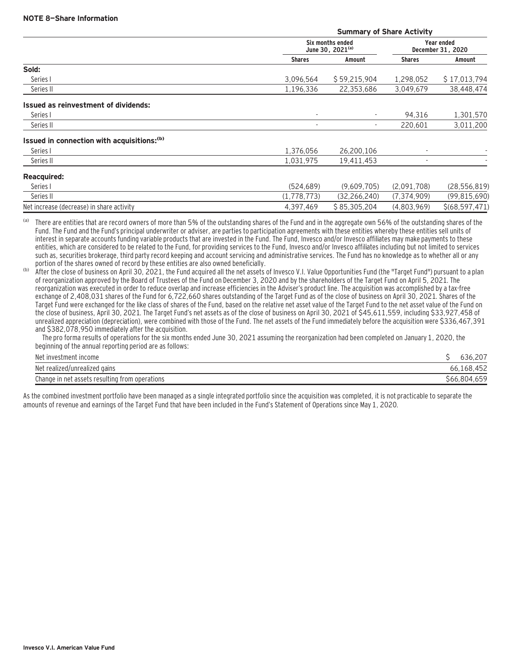|                                                  | <b>Summary of Share Activity</b> |                                 |                  |
|--------------------------------------------------|----------------------------------|---------------------------------|------------------|
| Six months ended<br>June 30, 2021 <sup>(a)</sup> |                                  | Year ended<br>December 31, 2020 |                  |
| <b>Shares</b>                                    | Amount                           | <b>Shares</b>                   | Amount           |
|                                                  |                                  |                                 |                  |
| 3,096,564                                        | \$59,215,904                     | 1,298,052                       | \$17,013,794     |
| 1,196,336                                        | 22,353,686                       | 3,049,679                       | 38,448,474       |
|                                                  |                                  |                                 |                  |
|                                                  | $\overline{\phantom{a}}$         | 94,316                          | 1,301,570        |
| $\overline{\phantom{a}}$                         | $\overline{\phantom{a}}$         | 220.601                         | 3,011,200        |
|                                                  |                                  |                                 |                  |
| 1,376,056                                        | 26,200,106                       |                                 |                  |
| 1,031,975                                        | 19,411,453                       |                                 |                  |
|                                                  |                                  |                                 |                  |
| (524, 689)                                       | (9,609,705)                      | (2,091,708)                     | (28, 556, 819)   |
| (1,778,773)                                      | (32, 266, 240)                   | (7, 374, 909)                   | (99, 815, 690)   |
| 4,397,469                                        | \$85,305,204                     | (4,803,969)                     | \$(68, 597, 471) |
|                                                  |                                  |                                 |                  |

(a) There are entities that are record owners of more than 5% of the outstanding shares of the Fund and in the aggregate own 56% of the outstanding shares of the Fund. The Fund and the Fund's principal underwriter or adviser, are parties to participation agreements with these entities whereby these entities sell units of interest in separate accounts funding variable products that are invested in the Fund. The Fund, Invesco and/or Invesco affiliates may make payments to these entities, which are considered to be related to the Fund, for providing services to the Fund, Invesco and/or Invesco affiliates including but not limited to services such as, securities brokerage, third party record keeping and account servicing and administrative services. The Fund has no knowledge as to whether all or any portion of the shares owned of record by these entities are also owned beneficially.

(b) After the close of business on April 30, 2021, the Fund acquired all the net assets of Invesco V.I. Value Opportunities Fund (the "Target Fund") pursuant to a plan of reorganization approved by the Board of Trustees of the Fund on December 3, 2020 and by the shareholders of the Target Fund on April 5, 2021. The reorganization was executed in order to reduce overlap and increase efficiencies in the Adviser's product line. The acquisition was accomplished by a tax-free exchange of 2,408,031 shares of the Fund for 6,722,660 shares outstanding of the Target Fund as of the close of business on April 30, 2021. Shares of the Target Fund were exchanged for the like class of shares of the Fund, based on the relative net asset value of the Target Fund to the net asset value of the Fund on the close of business, April 30, 2021. The Target Fund's net assets as of the close of business on April 30, 2021 of \$45,611,559, including \$33,927,458 of unrealized appreciation (depreciation), were combined with those of the Fund. The net assets of the Fund immediately before the acquisition were \$336,467,391 and \$382,078,950 immediately after the acquisition.

 The pro forma results of operations for the six months ended June 30, 2021 assuming the reorganization had been completed on January 1, 2020, the beginning of the annual reporting period are as follows:

| Net investment income                          |                  |
|------------------------------------------------|------------------|
| Net realized/unrealized gains                  | 66,168,452       |
| Change in net assets resulting from operations | .659<br>66,804ءَ |

As the combined investment portfolio have been managed as a single integrated portfolio since the acquisition was completed, it is not practicable to separate the amounts of revenue and earnings of the Target Fund that have been included in the Fund's Statement of Operations since May 1, 2020.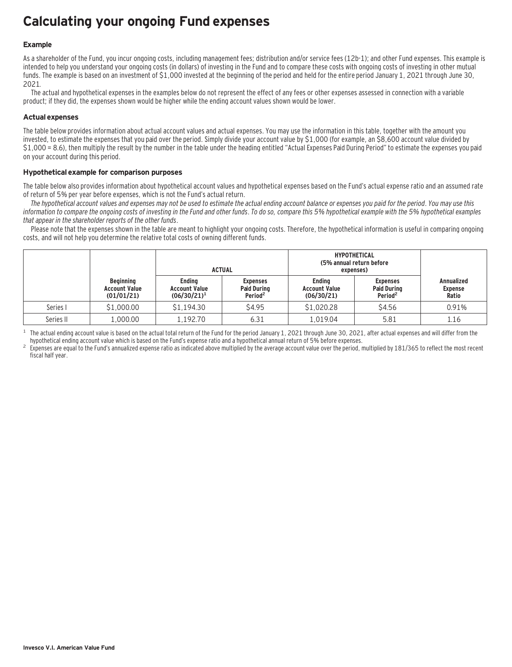## **Calculating your ongoing Fund expenses**

### **Example**

As a shareholder of the Fund, you incur ongoing costs, including management fees; distribution and/or service fees (12b-1); and other Fund expenses. This example is intended to help you understand your ongoing costs (in dollars) of investing in the Fund and to compare these costs with ongoing costs of investing in other mutual funds. The example is based on an investment of \$1,000 invested at the beginning of the period and held for the entire period January 1, 2021 through June 30, 2021.

The actual and hypothetical expenses in the examples below do not represent the effect of any fees or other expenses assessed in connection with a variable product; if they did, the expenses shown would be higher while the ending account values shown would be lower.

### **Actual expenses**

The table below provides information about actual account values and actual expenses. You may use the information in this table, together with the amount you invested, to estimate the expenses that you paid over the period. Simply divide your account value by \$1,000 (for example, an \$8,600 account value divided by \$1,000 = 8.6), then multiply the result by the number in the table under the heading entitled "Actual Expenses Paid During Period" to estimate the expenses you paid on your account during this period.

#### **Hypothetical example for comparison purposes**

The table below also provides information about hypothetical account values and hypothetical expenses based on the Fund's actual expense ratio and an assumed rate of return of 5% per year before expenses, which is not the Fund's actual return.

The hypothetical account values and expenses may not be used to estimate the actual ending account balance or expenses you paid for the period. You may use this information to compare the ongoing costs of investing in the Fund and other funds. To do so, compare this 5% hypothetical example with the 5% hypothetical examples that appear in the shareholder reports of the other funds.

Please note that the expenses shown in the table are meant to highlight your ongoing costs. Therefore, the hypothetical information is useful in comparing ongoing costs, and will not help you determine the relative total costs of owning different funds.

|           |                                                        | <b>ACTUAL</b>                                           |                                                              | <b>HYPOTHETICAL</b><br>(5% annual return before<br>expenses) |                                                              |                                              |
|-----------|--------------------------------------------------------|---------------------------------------------------------|--------------------------------------------------------------|--------------------------------------------------------------|--------------------------------------------------------------|----------------------------------------------|
|           | <b>Beginning</b><br><b>Account Value</b><br>(01/01/21) | <b>Ending</b><br><b>Account Value</b><br>$(06/30/21)^1$ | <b>Expenses</b><br><b>Paid During</b><br>Period <sup>2</sup> | <b>Ending</b><br><b>Account Value</b><br>(06/30/21)          | <b>Expenses</b><br><b>Paid During</b><br>Period <sup>2</sup> | <b>Annualized</b><br><b>Expense</b><br>Ratio |
| Series I  | \$1,000.00                                             | \$1,194.30                                              | \$4.95                                                       | \$1,020.28                                                   | \$4.56                                                       | 0.91%                                        |
| Series II | 1,000.00                                               | 1.192.70                                                | 6.31                                                         | L.019.04                                                     | 5.81                                                         | 1.16                                         |

<sup>1</sup> The actual ending account value is based on the actual total return of the Fund for the period January 1, 2021 through June 30, 2021, after actual expenses and will differ from the hund's expense ratio and a hypothetic

Expenses are equal to the Fund's annualized expense ratio as indicated above multiplied by the average account value over the period, multiplied by 181/365 to reflect the most recent fiscal half year.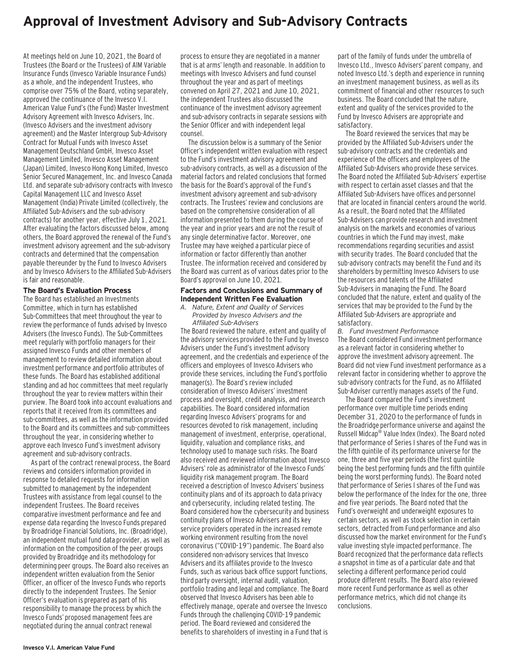### **Approval of Investment Advisory and Sub-Advisory Contracts**

At meetings held on June 10, 2021, the Board of Trustees (the Board or the Trustees) of AIM Variable Insurance Funds (Invesco Variable Insurance Funds) as a whole, and the independent Trustees, who comprise over 75% of the Board, voting separately, approved the continuance of the Invesco V.I. American Value Fund's (the Fund) Master Investment Advisory Agreement with Invesco Advisers, Inc. (Invesco Advisers and the investment advisory agreement) and the Master Intergroup Sub-Advisory Contract for Mutual Funds with Invesco Asset Management Deutschland GmbH, Invesco Asset Management Limited, Invesco Asset Management (Japan) Limited, Invesco Hong Kong Limited, Invesco Senior Secured Management, Inc. and Invesco Canada Ltd. and separate sub-advisory contracts with Invesco Capital Management LLC and Invesco Asset Management (India) Private Limited (collectively, the Affiliated Sub-Advisers and the sub-advisory contracts) for another year, effective July 1, 2021. After evaluating the factors discussed below, among others, the Board approved the renewal of the Fund's investment advisory agreement and the sub-advisory contracts and determined that the compensation payable thereunder by the Fund to Invesco Advisers and by Invesco Advisers to the Affiliated Sub-Advisers is fair and reasonable.

#### **The Board's Evaluation Process**

The Board has established an Investments Committee, which in turn has established Sub-Committees that meet throughout the year to review the performance of funds advised by Invesco Advisers (the Invesco Funds). The Sub-Committees meet regularly with portfolio managers for their assigned Invesco Funds and other members of management to review detailed information about investment performance and portfolio attributes of these funds. The Board has established additional standing and ad hoc committees that meet regularly throughout the year to review matters within their purview. The Board took into account evaluations and reports that it received from its committees and sub-committees, as well as the information provided to the Board and its committees and sub-committees throughout the year, in considering whether to approve each Invesco Fund's investment advisory agreement and sub-advisory contracts.

As part of the contract renewal process, the Board reviews and considers information provided in response to detailed requests for information submitted to management by the independent Trustees with assistance from legal counsel to the independent Trustees. The Board receives comparative investment performance and fee and expense data regarding the Invesco Funds prepared by Broadridge Financial Solutions, Inc. (Broadridge), an independent mutual fund data provider, as well as information on the composition of the peer groups provided by Broadridge and its methodology for determining peer groups. The Board also receives an independent written evaluation from the Senior Officer, an officer of the Invesco Funds who reports directly to the independent Trustees. The Senior Officer's evaluation is prepared as part of his responsibility to manage the process by which the Invesco Funds' proposed management fees are negotiated during the annual contract renewal

process to ensure they are negotiated in a manner that is at arms' length and reasonable. In addition to meetings with Invesco Advisers and fund counsel throughout the year and as part of meetings convened on April 27, 2021 and June 10, 2021, the independent Trustees also discussed the continuance of the investment advisory agreement and sub-advisory contracts in separate sessions with the Senior Officer and with independent legal counsel.

The discussion below is a summary of the Senior Officer's independent written evaluation with respect to the Fund's investment advisory agreement and sub-advisory contracts, as well as a discussion of the material factors and related conclusions that formed the basis for the Board's approval of the Fund's investment advisory agreement and sub-advisory contracts. The Trustees' review and conclusions are based on the comprehensive consideration of all information presented to them during the course of the year and in prior years and are not the result of any single determinative factor. Moreover, one Trustee may have weighed a particular piece of information or factor differently than another Trustee. The information received and considered by the Board was current as of various dates prior to the Board's approval on June 10, 2021.

#### **Factors and Conclusions and Summary of Independent Written Fee Evaluation**

*A. Nature, Extent and Quality of Services Provided by Invesco Advisers and the Affiliated Sub-Advisers*

The Board reviewed the nature, extent and quality of the advisory services provided to the Fund by Invesco Advisers under the Fund's investment advisory agreement, and the credentials and experience of the officers and employees of Invesco Advisers who provide these services, including the Fund's portfolio manager(s). The Board's review included consideration of Invesco Advisers' investment process and oversight, credit analysis, and research capabilities. The Board considered information regarding Invesco Advisers' programs for and resources devoted to risk management, including management of investment, enterprise, operational, liquidity, valuation and compliance risks, and technology used to manage such risks. The Board also received and reviewed information about Invesco Advisers' role as administrator of the Invesco Funds' liquidity risk management program. The Board received a description of Invesco Advisers' business continuity plans and of its approach to data privacy and cybersecurity, including related testing. The Board considered how the cybersecurity and business continuity plans of Invesco Advisers and its key service providers operated in the increased remote working environment resulting from the novel coronavirus ("COVID-19") pandemic. The Board also considered non-advisory services that Invesco Advisers and its affiliates provide to the Invesco Funds, such as various back office support functions, third party oversight, internal audit, valuation, portfolio trading and legal and compliance. The Board observed that Invesco Advisers has been able to effectively manage, operate and oversee the Invesco Funds through the challenging COVID-19 pandemic period. The Board reviewed and considered the benefits to shareholders of investing in a Fund that is

part of the family of funds under the umbrella of Invesco Ltd., Invesco Advisers' parent company, and noted Invesco Ltd.'s depth and experience in running an investment management business, as well as its commitment of financial and other resources to such business. The Board concluded that the nature, extent and quality of the services provided to the Fund by Invesco Advisers are appropriate and satisfactory.

The Board reviewed the services that may be provided by the Affiliated Sub-Advisers under the sub-advisory contracts and the credentials and experience of the officers and employees of the Affiliated Sub-Advisers who provide these services. The Board noted the Affiliated Sub-Advisers' expertise with respect to certain asset classes and that the Affiliated Sub-Advisers have offices and personnel that are located in financial centers around the world. As a result, the Board noted that the Affiliated Sub-Advisers can provide research and investment analysis on the markets and economies of various countries in which the Fund may invest, make recommendations regarding securities and assist with security trades. The Board concluded that the sub-advisory contracts may benefit the Fund and its shareholders by permitting Invesco Advisers to use the resources and talents of the Affiliated Sub-Advisers in managing the Fund. The Board concluded that the nature, extent and quality of the services that may be provided to the Fund by the Affiliated Sub-Advisers are appropriate and satisfactory.

*B. Fund Investment Performance* The Board considered Fund investment performance as a relevant factor in considering whether to approve the investment advisory agreement. The Board did not view Fund investment performance as a relevant factor in considering whether to approve the sub-advisory contracts for the Fund, as no Affiliated Sub-Adviser currently manages assets of the Fund.

The Board compared the Fund's investment performance over multiple time periods ending December 31, 2020 to the performance of funds in the Broadridge performance universe and against the Russell Midcap® Value Index (Index). The Board noted that performance of Series I shares of the Fund was in the fifth quintile of its performance universe for the one, three and five year periods (the first quintile being the best performing funds and the fifth quintile being the worst performing funds). The Board noted that performance of Series I shares of the Fund was below the performance of the Index for the one, three and five year periods. The Board noted that the Fund's overweight and underweight exposures to certain sectors, as well as stock selection in certain sectors, detracted from Fund performance and also discussed how the market environment for the Fund's value investing style impacted performance. The Board recognized that the performance data reflects a snapshot in time as of a particular date and that selecting a different performance period could produce different results. The Board also reviewed more recent Fund performance as well as other performance metrics, which did not change its conclusions.